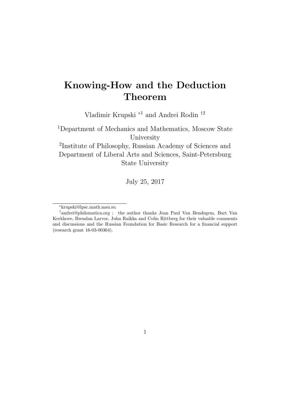# Knowing-How and the Deduction Theorem

Vladimir Krupski <sup>∗</sup><sup>1</sup> and Andrei Rodin †<sup>2</sup>

<sup>1</sup>Department of Mechanics and Mathematics, Moscow State University

2 Institute of Philosophy, Russian Academy of Sciences and Department of Liberal Arts and Sciences, Saint-Petersburg State University

July 25, 2017

<sup>∗</sup>krupski@lpsc.math.msu.su

<sup>†</sup>andrei@philomatica.org ; the author thanks Jean Paul Van Bendegem, Bart Van Kerkhove, Brendan Larvor, Juha Raikka and Colin Rittberg for their valuable comments and discussions and the Russian Foundation for Basic Research for a financial support (research grant 16-03-00364).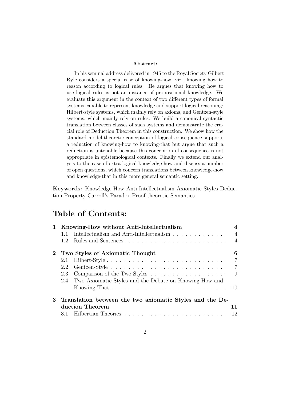#### Abstract:

In his seminal address delivered in 1945 to the Royal Society Gilbert Ryle considers a special case of knowing-how, viz., knowing how to reason according to logical rules. He argues that knowing how to use logical rules is not an instance of propositional knowledge. We evaluate this argument in the context of two different types of formal systems capable to represent knowledge and support logical reasoning: Hilbert-style systems, which mainly rely on axioms, and Gentzen-style systems, which mainly rely on rules. We build a canonical syntactic translation between classes of such systems and demonstrate the crucial role of Deduction Theorem in this construction. We show how the standard model-theoretic conception of logical consequence supports a reduction of knowing-how to knowing-that but argue that such a reduction is untenable because this conception of consequence is not appropriate in epistemological contexts. Finally we extend our analysis to the case of extra-logical knowledge-how and discuss a number of open questions, which concern translations between knowledge-how and knowledge-that in this more general semantic setting.

Keywords: Knowledge-How Anti-Intellectualism Axiomatic Styles Deduction Property Carroll's Paradox Proof-theoretic Semantics

## Table of Contents:

|   | 1 Knowing-How without Anti-Intellectualism               |                                                                                         |                |  |
|---|----------------------------------------------------------|-----------------------------------------------------------------------------------------|----------------|--|
|   |                                                          | Intellectualism and Anti-Intellectualism                                                | $\overline{4}$ |  |
|   | 1.2                                                      |                                                                                         | $\overline{4}$ |  |
|   |                                                          | Two Styles of Axiomatic Thought                                                         | 6              |  |
|   | 2.1                                                      |                                                                                         | -7             |  |
|   | 2.2                                                      |                                                                                         | 7              |  |
|   | 2.3                                                      |                                                                                         | - 9            |  |
|   | 2.4                                                      | Two Axiomatic Styles and the Debate on Knowing-How and                                  |                |  |
|   |                                                          | Knowing-That $\ldots \ldots \ldots \ldots \ldots \ldots \ldots \ldots \ldots \ldots 10$ |                |  |
| 3 | Translation between the two axiomatic Styles and the De- |                                                                                         |                |  |
|   |                                                          | duction Theorem                                                                         | 11             |  |
|   | 3.1                                                      |                                                                                         |                |  |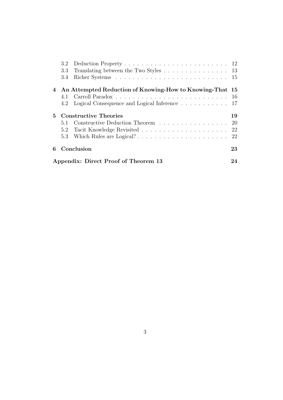|    | $3.2^{\circ}$                        |                                                                              |    |  |
|----|--------------------------------------|------------------------------------------------------------------------------|----|--|
|    | 3.3                                  | Translating between the Two Styles $\ldots \ldots \ldots \ldots \ldots 13$   |    |  |
|    | 3.4                                  |                                                                              |    |  |
|    |                                      | 4 An Attempted Reduction of Knowing-How to Knowing-That 15                   |    |  |
|    | 4.1                                  |                                                                              |    |  |
|    | 4.2                                  | Logical Consequence and Logical Inference $\dots \dots \dots \dots \dots$ 17 |    |  |
| 5. |                                      | <b>Constructive Theories</b>                                                 | 19 |  |
|    | 5.1                                  | Constructive Deduction Theorem 20                                            |    |  |
|    | 5.2                                  |                                                                              |    |  |
|    |                                      |                                                                              |    |  |
| 6  | Conclusion                           |                                                                              |    |  |
|    | Appendix: Direct Proof of Theorem 13 |                                                                              |    |  |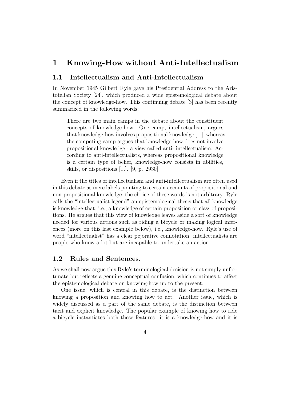## 1 Knowing-How without Anti-Intellectualism

#### 1.1 Intellectualism and Anti-Intellectualism

In November 1945 Gilbert Ryle gave his Presidential Address to the Aristotelian Society [24], which produced a wide epistemological debate about the concept of knowledge-how. This continuing debate [3] has been recently summarized in the following words:

There are two main camps in the debate about the constituent concepts of knowledge-how. One camp, intellectualism, argues that knowledge-how involves propositional knowledge [...], whereas the competing camp argues that knowledge-how does not involve propositional knowledge - a view called anti- intellectualism. According to anti-intellectualists, whereas propositional knowledge is a certain type of belief, knowledge-how consists in abilities, skills, or dispositions [...]. [9, p. 2930]

Even if the titles of intellectualism and anti-intellectualism are often used in this debate as mere labels pointing to certain accounts of propositional and non-propositional knowledge, the choice of these words is not arbitrary. Ryle calls the "intellectualist legend" an epistemological thesis that all knowledge is knowledge-that, i.e., a knowledge of certain proposition or class of propositions. He argues that this view of knowledge leaves aside a sort of knowledge needed for various actions such as riding a bicycle or making logical inferences (more on this last example below), i.e., knowledge-how. Ryle's use of word "intellectualist" has a clear pejorative connotation: intellectualists are people who know a lot but are incapable to undertake an action.

#### 1.2 Rules and Sentences.

As we shall now argue this Ryle's terminological decision is not simply unfortunate but reflects a genuine conceptual confusion, which continues to affect the epistemological debate on knowing-how up to the present.

One issue, which is central in this debate, is the distinction between knowing a proposition and knowing how to act. Another issue, which is widely discussed as a part of the same debate, is the distinction between tacit and explicit knowledge. The popular example of knowing how to ride a bicycle instantiates both these features: it is a knowledge-how and it is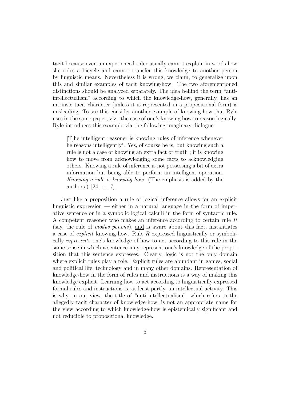tacit because even an experienced rider usually cannot explain in words how she rides a bicycle and cannot transfer this knowledge to another person by linguistic means. Nevertheless it is wrong, we claim, to generalize upon this and similar examples of tacit knowing-how. The two aforementioned distinctions should be analyzed separately. The idea behind the term "antiintellectualism" according to which the knowledge-how, generally, has an intrinsic tacit character (unless it is represented in a propositional form) is misleading. To see this consider another example of knowing-how that Ryle uses in the same paper, viz., the case of one's knowing how to reason logically. Ryle introduces this example via the following imaginary dialogue:

[T]he intelligent reasoner is knowing rules of inference whenever he reasons intelligently'. Yes, of course he is, but knowing such a rule is not a case of knowing an extra fact or truth ; it is knowing how to move from acknowledging some facts to acknowledging others. Knowing a rule of inference is not possessing a bit of extra information but being able to perform an intelligent operation. Knowing a rule is knowing how. (The emphasis is added by the authors.) [24, p. 7].

Just like a proposition a rule of logical inference allows for an explicit linguistic expression — either in a natural language in the form of imperative sentence or in a symbolic logical calculi in the form of syntactic rule. A competent reasoner who makes an inference according to certain rule R (say, the rule of modus ponens), and is aware about this fact, instantiates a case of explicit knowing-how. Rule R expressed linguistically or symbolically represents one's knowledge of how to act according to this rule in the same sense in which a sentence may represent one's knowledge of the proposition that this sentence expresses. Clearly, logic is not the only domain where explicit rules play a role. Explicit rules are abundant in games, social and political life, technology and in many other domains. Representation of knowledge-how in the form of rules and instructions is a way of making this knowledge explicit. Learning how to act according to linguistically expressed formal rules and instructions is, at least partly, an intellectual activity. This is why, in our view, the title of "anti-intellectualism", which refers to the allegedly tacit character of knowledge-how, is not an appropriate name for the view according to which knowledge-how is epistemically significant and not reducible to propositional knowledge.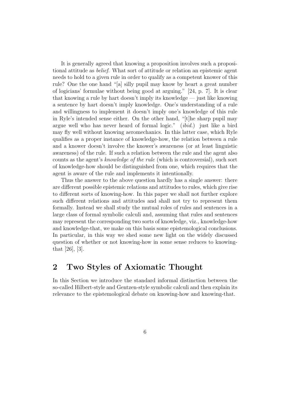It is generally agreed that knowing a proposition involves such a propositional attitude as belief. What sort of attitude or relation an epistemic agent needs to hold to a given rule in order to qualify as a competent knower of this rule? One the one hand "[a] silly pupil may know by heart a great number of logicians' formulae without being good at arguing." [24, p. 7]. It is clear that knowing a rule by hart doesn't imply its knowledge  $-$  just like knowing a sentence by hart doesn't imply knowledge. One's understanding of a rule and willingness to implement it doesn't imply one's knowledge of this rule in Ryle's intended sense either. On the other hand, "[t]he sharp pupil may argue well who has never heard of formal logic." (ibid.) just like a bird may fly well without knowing aeromechanics. In this latter case, which Ryle qualifies as a proper instance of knowledge-how, the relation between a rule and a knower doesn't involve the knower's awareness (or at least linguistic awareness) of the rule. If such a relation between the rule and the agent also counts as the agent's knowledge of the rule (which is controversial), such sort of knowledge-how should be distinguished from one, which requires that the agent is aware of the rule and implements it intentionally.

Thus the answer to the above question hardly has a single answer: there are different possible epistemic relations and attitudes to rules, which give rise to different sorts of knowing-how. In this paper we shall not further explore such different relations and attitudes and shall not try to represent them formally. Instead we shall study the mutual roles of rules and sentences in a large class of formal symbolic calculi and, assuming that rules and sentences may represent the corresponding two sorts of knowledge, viz., knowledge-how and knowledge-that, we make on this basis some epistemological conclusions. In particular, in this way we shed some new light on the widely discussed question of whether or not knowing-how in some sense reduces to knowingthat [26], [3].

## 2 Two Styles of Axiomatic Thought

In this Section we introduce the standard informal distinction between the so-called Hilbert-style and Gentzen-style symbolic calculi and then explain its relevance to the epistemological debate on knowing-how and knowing-that.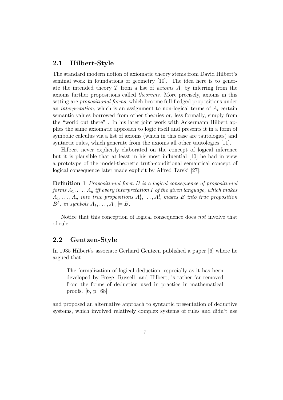#### 2.1 Hilbert-Style

The standard modern notion of axiomatic theory stems from David Hilbert's seminal work in foundations of geometry [10]. The idea here is to generate the intended theory  $T$  from a list of *axioms*  $A_i$  by inferring from the axioms further propositions called theorems. More precisely, axioms in this setting are *propositional forms*, which become full-fledged propositions under an *interpretation*, which is an assignment to non-logical terms of  $A_i$  certain semantic values borrowed from other theories or, less formally, simply from the "world out there" . In his later joint work with Ackermann Hilbert applies the same axiomatic approach to logic itself and presents it in a form of symbolic calculus via a list of axioms (which in this case are tautologies) and syntactic rules, which generate from the axioms all other tautologies [11].

Hilbert never explicitly elaborated on the concept of logical inference but it is plausible that at least in his most influential [10] he had in view a prototype of the model-theoretic truth-conditional semantical concept of logical consequence later made explicit by Alfred Tarski [27]:

Definition 1 Propositional form B is a logical consequence of propositional forms  $A_1, \ldots, A_n$  iff every interpretation I of the given language, which makes  $A_1, \ldots, A_n$  into true propositions  $A_1^I, \ldots, A_n^I$  makes B into true proposition  $B^I$ , in symbols  $A_1, \ldots, A_n \models B$ .

Notice that this conception of logical consequence does not involve that of rule.

#### 2.2 Gentzen-Style

In 1935 Hilbert's associate Gerhard Gentzen published a paper [6] where he argued that

The formalization of logical deduction, especially as it has been developed by Frege, Russell, and Hilbert, is rather far removed from the forms of deduction used in practice in mathematical proofs. [6, p. 68]

and proposed an alternative approach to syntactic presentation of deductive systems, which involved relatively complex systems of rules and didn't use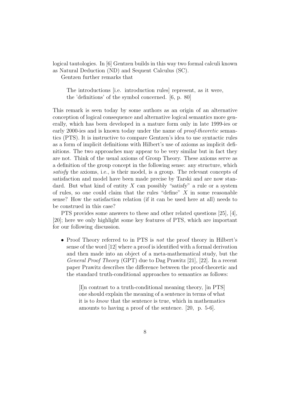logical tautologies. In [6] Gentzen builds in this way two formal calculi known as Natural Deduction (ND) and Sequent Calculus (SC).

Gentzen further remarks that

The introductions [i.e. introduction rules] represent, as it were, the 'definitions' of the symbol concerned. [6, p. 80]

This remark is seen today by some authors as an origin of an alternative conception of logical consequence and alternative logical semantics more generally, which has been developed in a mature form only in late 1999-ies or early 2000-ies and is known today under the name of *proof-theoretic* semantics (PTS). It is instructive to compare Gentzen's idea to use syntactic rules as a form of implicit definitions with Hilbert's use of axioms as implicit definitions. The two approaches may appear to be very similar but in fact they are not. Think of the usual axioms of Group Theory. These axioms serve as a definition of the group concept in the following sense: any structure, which satisfy the axioms, i.e., is their model, is a group. The relevant concepts of satisfaction and model have been made precise by Tarski and are now standard. But what kind of entity  $X$  can possibly "satisfy" a rule or a system of rules, so one could claim that the rules "define"  $X$  in some reasonable sense? How the satisfaction relation (if it can be used here at all) needs to be construed in this case?

PTS provides some answers to these and other related questions [25], [4], [20]; here we only highlight some key features of PTS, which are important for our following discussion.

• Proof Theory referred to in PTS is *not* the proof theory in Hilbert's sense of the word [12] where a proof is identified with a formal derivation and then made into an object of a meta-mathematical study, but the General Proof Theory (GPT) due to Dag Prawitz [21], [22]. In a recent paper Prawitz describes the difference between the proof-theoretic and the standard truth-conditional approaches to semantics as follows:

[I]n contrast to a truth-conditional meaning theory, [in PTS] one should explain the meaning of a sentence in terms of what it is to know that the sentence is true, which in mathematics amounts to having a proof of the sentence. [20, p. 5-6].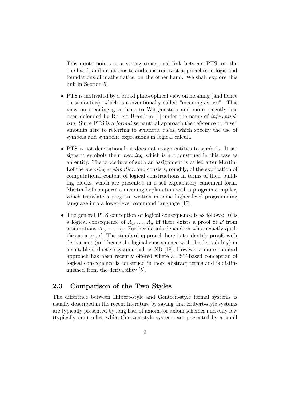This quote points to a strong conceptual link between PTS, on the one hand, and intuitionisitc and constructivist approaches in logic and foundations of mathematics, on the other hand. We shall explore this link in Section 5.

- PTS is motivated by a broad philosophical view on meaning (and hence on semantics), which is conventionally called "meaning-as-use". This view on meaning goes back to Wittgenstein and more recently has been defended by Robert Brandom [1] under the name of inferentialism. Since PTS is a *formal* semantical approach the reference to "use" amounts here to referring to syntactic rules, which specify the use of symbols and symbolic expressions in logical calculi.
- PTS is not denotational: it does not assign entities to symbols. It assigns to symbols their meaning, which is not construed in this case as an entity. The procedure of such an assignment is called after Martin-Löf the *meaning explanation* and consists, roughly, of the explication of computational content of logical constructions in terms of their building blocks, which are presented in a self-explanatory canonical form. Martin-Löf compares a meaning explanation with a program compiler, which translate a program written in some higher-level programming language into a lower-level command language [17].
- The general PTS conception of logical consequence is as follows:  $B$  is a logical consequence of  $A_1, \ldots, A_n$  iff there exists a proof of B from assumptions  $A_1, \ldots, A_n$ . Further details depend on what exactly qualifies as a proof. The standard approach here is to identify proofs with derivations (and hence the logical consequence with the derivability) in a suitable deductive system such as ND [18]. However a more nuanced approach has been recently offered where a PST-based conception of logical consequence is construed in more abstract terms and is distinguished from the derivability [5].

#### 2.3 Comparison of the Two Styles

The difference between Hilbert-style and Gentzen-style formal systems is usually described in the recent literature by saying that Hilbert-style systems are typically presented by long lists of axioms or axiom schemes and only few (typically one) rules, while Gentzen-style systems are presented by a small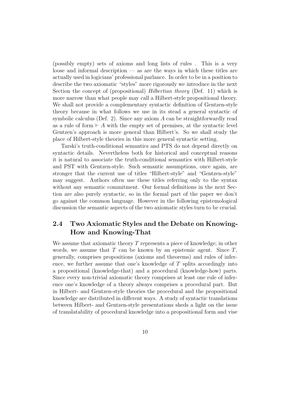(possibly empty) sets of axioms and long lists of rules . This is a very loose and informal description — as are the ways in which these titles are actually used in logicians' professional parlance. In order to be in a position to describe the two axiomatic "styles" more rigorously we introduce in the next Section the concept of (propositional) *Hilbertian theory* (Def. 11) which is more narrow than what people may call a Hilbert-style propositional theory. We shall not provide a complementary syntactic definition of Gentzen-style theory because in what follows we use in its stead a general syntactic of symbolic calculus (Def. 2). Since any axiom  $A$  can be straightforwardly read as a rule of form  $\vdash A$  with the empty set of premises, at the syntactic level Gentzen's approach is more general than Hilbert's. So we shall study the place of Hilbert-style theories in this more general syntactic setting.

Tarski's truth-conditional semantics and PTS do not depend directly on syntactic details. Nevertheless both for historical and conceptual reasons it is natural to associate the truth-conditional semantics with Hilbert-style and PST with Gentzen-style. Such semantic assumptions, once again, are stronger that the current use of titles "Hilbert-style" and "Gentzen-style" may suggest. Authors often use these titles referring only to the syntax without any semantic commitment. Our formal definitions in the next Section are also purely syntactic, so in the formal part of the paper we don't go against the common language. However in the following epistemological discussion the semantic aspects of the two axiomatic styles turn to be crucial.

### 2.4 Two Axiomatic Styles and the Debate on Knowing-How and Knowing-That

We assume that axiomatic theory  $T$  represents a piece of knowledge; in other words, we assume that  $T$  can be known by an epistemic agent. Since  $T$ , generally, comprises propositions (axioms and theorems) and rules of inference, we further assume that one's knowledge of T splits accordingly into a propositional (knowledge-that) and a procedural (knowledge-how) parts. Since every non-trivial axiomatic theory comprises at least one rule of inference one's knowledge of a theory always comprises a procedural part. But in Hilbert- and Gentzen-style theories the procedural and the propositional knowledge are distributed in different ways. A study of syntactic translations between Hilbert- and Gentzen-style presentations sheds a light on the issue of translatability of procedural knowledge into a propositional form and vise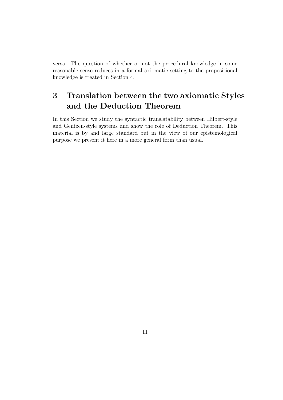versa. The question of whether or not the procedural knowledge in some reasonable sense reduces in a formal axiomatic setting to the propositional knowledge is treated in Section 4.

## 3 Translation between the two axiomatic Styles and the Deduction Theorem

In this Section we study the syntactic translatability between Hilbert-style and Gentzen-style systems and show the role of Deduction Theorem. This material is by and large standard but in the view of our epistemological purpose we present it here in a more general form than usual.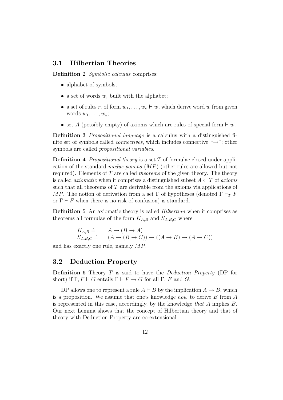#### 3.1 Hilbertian Theories

Definition 2 Symbolic calculus comprises:

- alphabet of symbols;
- a set of words  $w_i$  built with the alphabet;
- a set of rules  $r_i$  of form  $w_1, \ldots, w_k \vdash w$ , which derive word w from given words  $w_1, \ldots, w_k$ ;
- set A (possibly empty) of axioms which are rules of special form  $\vdash w$ .

Definition 3 Propositional language is a calculus with a distinguished finite set of symbols called *connectives*, which includes connective " $\rightarrow$ "; other symbols are called *propositional variables*.

**Definition 4** Propositional theory is a set  $T$  of formulae closed under application of the standard modus ponens (MP) (other rules are allowed but not required). Elements of  $T$  are called *theorems* of the given theory. The theory is called *axiomatic* when it comprises a distinguished subset  $A \subset T$  of *axioms* such that all theorems of  $T$  are derivable from the axioms via applications of MP. The notion of derivation from a set  $\Gamma$  of hypotheses (denoted  $\Gamma \vdash_T F$ or  $\Gamma \vdash F$  when there is no risk of confusion) is standard.

**Definition 5** An axiomatic theory is called *Hilbertian* when it comprises as theorems all formulae of the form  $K_{A,B}$  and  $S_{A,B,C}$  where

$$
K_{A,B} \doteq \n A \rightarrow (B \rightarrow A) \n S_{A,B,C} \doteq \n (A \rightarrow (B \rightarrow C)) \rightarrow ((A \rightarrow B) \rightarrow (A \rightarrow C))
$$

and has exactly one rule, namely MP.

#### 3.2 Deduction Property

**Definition 6** Theory  $T$  is said to have the *Deduction Property* (DP for short) if  $\Gamma, F \vdash G$  entails  $\Gamma \vdash F \to G$  for all  $\Gamma, F$  and G.

DP allows one to represent a rule  $A \vdash B$  by the implication  $A \rightarrow B$ , which is a proposition. We assume that one's knowledge how to derive B from A is represented in this case, accordingly, by the knowledge that  $A$  implies  $B$ . Our next Lemma shows that the concept of Hilbertian theory and that of theory with Deduction Property are co-extensional: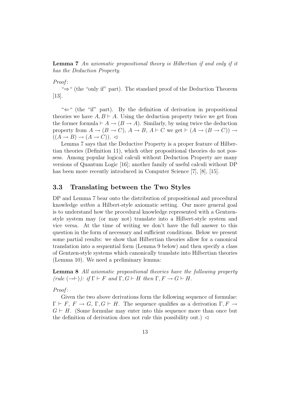Lemma 7 An axiomatic propositional theory is Hilbertian if and only if it has the Deduction Property.

Proof:

"⇒" (the "only if" part). The standard proof of the Deduction Theorem [13].

" $\Leftarrow$ " (the "if" part). By the definition of derivation in propositional theories we have  $A, B \vdash A$ . Using the deduction property twice we get from the former formula  $\vdash A \rightarrow (B \rightarrow A)$ . Similarly, by using twice the deduction property from  $A \to (B \to C)$ ,  $A \to B$ ,  $A \vdash C$  we get  $\vdash (A \to (B \to C)) \to$  $((A \rightarrow B) \rightarrow (A \rightarrow C))$ .

Lemma 7 says that the Deductive Property is a proper feature of Hilbertian theories (Definition 11), which other propositional theories do not possess. Among popular logical calculi without Deduction Property are many versions of Quantum Logic [16]; another family of useful calculi without DP has been more recently introduced in Computer Science [7], [8], [15].

#### 3.3 Translating between the Two Styles

DP and Lemma 7 bear onto the distribution of propositional and procedural knowledge within a Hilbert-style axiomatic setting. Our more general goal is to understand how the procedural knowledge represented with a Gentzenstyle system may (or may not) translate into a Hilbert-style system and vice versa. At the time of writing we don't have the full answer to this question in the form of necessary and sufficient conditions. Below we present some partial results: we show that Hilbertian theories allow for a canonical translation into a sequential form (Lemma 9 below) and then specify a class of Gentzen-style systems which canonically translate into Hilbertian theories (Lemma 10). We need a preliminary lemma:

Lemma 8 All axiomatic propositional theories have the following property (rule  $(\rightarrow \rightarrow \rightarrow \rightarrow)$ ): if  $\Gamma \vdash F$  and  $\Gamma, G \vdash H$  then  $\Gamma, F \rightarrow G \vdash H$ .

Proof :

Given the two above derivations form the following sequence of formulae:  $\Gamma \vdash F, F \rightarrow G, \Gamma, G \vdash H$ . The sequence qualifies as a derivation  $\Gamma, F \rightarrow$  $G \vdash H$ . (Some formulae may enter into this sequence more than once but the definition of derivation does not rule this possibility out.)  $\triangleleft$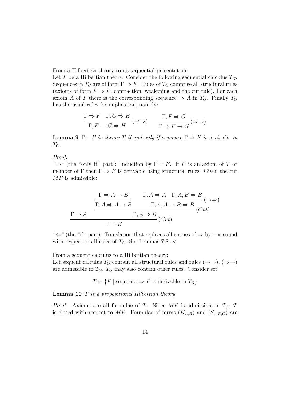From a Hilbertian theory to its sequential presentation:

Let T be a Hilbertian theory. Consider the following sequential calculus  $T_G$ . Sequences in  $T_G$  are of form  $\Gamma \Rightarrow F$ . Rules of  $T_G$  comprise all structural rules (axioms of form  $F \Rightarrow F$ , contraction, weakening and the cut rule). For each axiom A of T there is the corresponding sequence  $\Rightarrow$  A in  $T_G$ . Finally  $T_G$ has the usual rules for implication, namely:

$$
\frac{\Gamma \Rightarrow F \quad \Gamma, G \Rightarrow H}{\Gamma, F \to G \Rightarrow H} (\to \Rightarrow) \qquad \frac{\Gamma, F \Rightarrow G}{\Gamma \Rightarrow F \to G} (\Rightarrow \to)
$$

**Lemma 9**  $\Gamma \vdash F$  in theory T if and only if sequence  $\Gamma \Rightarrow F$  is derivable in  $T_G$ .

Proof:

" $\Rightarrow$ " (the "only if" part): Induction by  $\Gamma \vdash F$ . If F is an axiom of T or member of  $\Gamma$  then  $\Gamma \Rightarrow F$  is derivable using structural rules. Given the cut  $MP$  is admissible:

$$
\frac{\Gamma \Rightarrow A \to B}{\Gamma, A \Rightarrow A \to B} \qquad \frac{\Gamma, A \Rightarrow A \quad \Gamma, A, B \Rightarrow B}{\Gamma, A, A \to B \Rightarrow B} \quad (\to \Rightarrow)
$$

$$
\frac{\Gamma \Rightarrow A}{\Gamma \Rightarrow B} \qquad (\text{Cut})
$$

" $\Leftarrow$ " (the "if" part): Translation that replaces all entries of  $\Rightarrow$  by  $\vdash$  is sound with respect to all rules of  $T_G$ . See Lemmas 7,8.  $\triangleleft$ 

From a sequent calculus to a Hilbertian theory:

Let sequent calculus  $T_G$  contain all structural rules and rules  $(\rightarrow \rightarrow), (\Rightarrow \rightarrow)$ are admissible in  $T_G$ .  $T_G$  may also contain other rules. Consider set

 $T = \{F \mid \text{sequence} \Rightarrow F \text{ is derivable in } T_G\}$ 

**Lemma 10**  $T$  is a propositional Hilbertian theory

*Proof:* Axioms are all formulae of T. Since  $MP$  is admissible in  $T_G$ , T is closed with respect to MP. Formulae of forms  $(K_{A,B})$  and  $(S_{A,B,C})$  are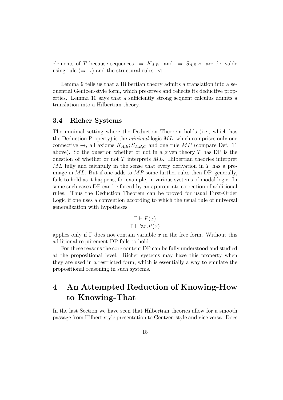elements of T because sequences  $\Rightarrow$   $K_{A,B}$  and  $\Rightarrow$   $S_{A,B,C}$  are derivable using rule  $(\Rightarrow \rightarrow)$  and the structural rules.  $\triangleleft$ 

Lemma 9 tells us that a Hilbertian theory admits a translation into a sequential Gentzen-style form, which preserves and reflects its deductive properties. Lemma 10 says that a sufficiently strong sequent calculus admits a translation into a Hilbertian theory.

#### 3.4 Richer Systems

The minimal setting where the Deduction Theorem holds (i.e., which has the Deduction Property) is the *minimal* logic  $ML$ , which comprises only one connective  $\rightarrow$ , all axioms  $K_{A,B}$ ;  $S_{A,B,C}$  and one rule MP (compare Def. 11) above). So the question whether or not in a given theory  $T$  has DP is the question of whether or not  $T$  interprets  $ML$ . Hilbertian theories interpret  $ML$  fully and faithfully in the sense that every derivation in T has a preimage in  $ML$ . But if one adds to  $MP$  some further rules then DP, generally, fails to hold as it happens, for example, in various systems of modal logic. In some such cases DP can be forced by an appropriate correction of additional rules. Thus the Deduction Theorem can be proved for usual First-Order Logic if one uses a convention according to which the usual rule of universal generalization with hypotheses

$$
\frac{\Gamma \vdash P(x)}{\Gamma \vdash \forall x. P(x)}
$$

applies only if  $\Gamma$  does not contain variable x in the free form. Without this additional requirement DP fails to hold.

For these reasons the core content DP can be fully understood and studied at the propositional level. Richer systems may have this property when they are used in a restricted form, which is essentially a way to emulate the propositional reasoning in such systems.

## 4 An Attempted Reduction of Knowing-How to Knowing-That

In the last Section we have seen that Hilbertian theories allow for a smooth passage from Hilbert-style presentation to Gentzen-style and vice versa. Does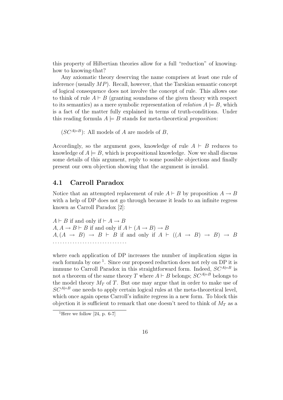this property of Hilbertian theories allow for a full "reduction" of knowinghow to knowing-that?

Any axiomatic theory deserving the name comprises at least one rule of inference (usually  $MP$ ). Recall, however, that the Tarskian semantic concept of logical consequence does not involve the concept of rule. This allows one to think of rule  $A \vdash B$  (granting soundness of the given theory with respect to its semantics) as a mere symbolic representation of *relation*  $A \models B$ , which is a fact of the matter fully explained in terms of truth-conditions. Under this reading formula  $A \models B$  stands for meta-theoretical proposition:

 $(SC^{A\neq B})$ : All models of A are models of B,

Accordingly, so the argument goes, knowledge of rule  $A \vdash B$  reduces to knowledge of  $A \models B$ , which is propositional knowledge. Now we shall discuss some details of this argument, reply to some possible objections and finally present our own objection showing that the argument is invalid.

#### 4.1 Carroll Paradox

Notice that an attempted replacement of rule  $A \vdash B$  by proposition  $A \rightarrow B$ with a help of DP does not go through because it leads to an infinite regress known as Carroll Paradox [2]:

 $A \vdash B$  if and only if  $\vdash A \rightarrow B$  $A, A \rightarrow B \vdash B$  if and only if  $A \vdash (A \rightarrow B) \rightarrow B$  $A,(A \rightarrow B) \rightarrow B \vdash B$  if and only if  $A \vdash ((A \rightarrow B) \rightarrow B) \rightarrow B$ . . . . . . . . . . . . . . . . . . . . . . . . . . . . . .

where each application of DP increases the number of implication signs in each formula by one<sup>1</sup>. Since our proposed reduction does not rely on DP it is immune to Carroll Paradox in this straightforward form. Indeed,  $SC^{A\rightleftharpoons B}$  is not a theorem of the same theory T where  $A \vdash B$  belongs;  $SC^{A \models B}$  belongs to the model theory  $M_T$  of T. But one may argue that in order to make use of  $SC^{A \models B}$  one needs to apply certain logical rules at the meta-theoretical level, which once again opens Carroll's infinite regress in a new form. To block this objection it is sufficient to remark that one doesn't need to think of  $M_T$  as a

<sup>&</sup>lt;sup>1</sup>Here we follow [24, p. 6-7]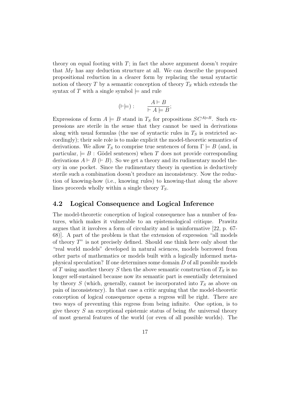theory on equal footing with  $T$ ; in fact the above argument doesn't require that  $M_T$  has any deduction structure at all. We can describe the proposed propositional reduction in a clearer form by replacing the usual syntactic notion of theory T by a semantic conception of theory  $T<sub>S</sub>$  which extends the syntax of T with a single symbol  $\models$  and rule

$$
(\vdash \models) : \qquad \frac{A \vdash B}{\vdash A \models B};
$$

Expressions of form  $A \models B$  stand in  $T_S$  for propositions  $SC^{A \models B}$ . Such expressions are sterile in the sense that they cannot be used in derivations along with usual formulas (the use of syntactic rules in  $T<sub>S</sub>$  is restricted accordingly); their sole role is to make explicit the model-theoretic semantics of derivations. We allow  $T<sub>S</sub>$  to comprise true sentences of form  $\Gamma \models B$  (and, in particular,  $\models B : G$  odel sentences) when T does not provide corresponding derivations  $A \vdash B (\vdash B)$ . So we get a theory and its rudimentary model theory in one pocket. Since the rudimentary theory in question is deductively sterile such a combination doesn't produce an inconsistency. Now the reduction of knowing-how (i.e., knowing rules) to knowing-that along the above lines proceeds wholly within a single theory  $T_S$ .

#### 4.2 Logical Consequence and Logical Inference

The model-theoretic conception of logical consequence has a number of features, which makes it vulnerable to an epistemological critique. Prawitz argues that it involves a form of circularity and is uninformative [22, p. 67- 68)]. A part of the problem is that the extension of expression "all models of theory  $T^"$  is not precisely defined. Should one think here only about the "real world models" developed in natural sciences, models borrowed from other parts of mathematics or models built with a logically informed metaphysical speculation? If one determines some domain D of all possible models of T using another theory S then the above semantic construction of  $T<sub>S</sub>$  is no longer self-sustained because now its semantic part is essentially determined by theory S (which, generally, cannot be incorporated into  $T<sub>S</sub>$  as above on pain of inconsistency). In that case a critic arguing that the model-theoretic conception of logical consequence opens a regress will be right. There are two ways of preventing this regress from being infinite. One option, is to give theory  $S$  an exceptional epistemic status of being the universal theory of most general features of the world (or even of all possible worlds). The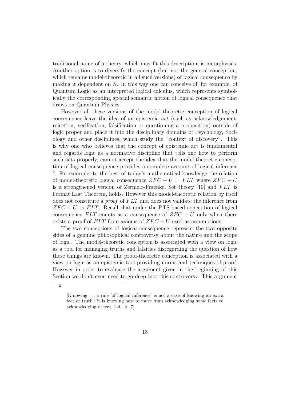traditional name of a theory, which may fit this description, is metaphysics. Another option is to diversify the concept (but not the general conception, which remains model-theoretic in all such versions) of logical consequence by making it dependent on S. In this way one can conceive of, for example, of Quantum Logic as an interpreted logical calculus, which represents symbolically the corresponding special semantic notion of logical consequence that draws on Quantum Physics.

However all these versions of the model-theoretic conception of logical consequence leave the idea of an epistemic act (such as acknowledgement, rejection, verification, falsification or questioning a proposition) outside of logic proper and place it into the disciplinary domains of Psychology, Sociology and other disciplines, which study the "context of discovery". This is why one who believes that the concept of epistemic act is fundamental and regards logic as a normative discipline that tells one how to perform such acts properly, cannot accept the idea that the model-theoretic conception of logical consequence provides a complete account of logical inference 2 . For example, to the best of today's mathematical knowledge the relation of model-theoretic logical consequence  $ZFC + U \models FLT$  where  $ZFC + U$ is a strengthened version of Zermelo-Fraenkel Set theory  $[19]$  and  $FLT$  is Fermat Last Theorem, holds. However this model-theoretic relation by itself does not constitute a *proof* of FLT and does not validate the inference from  $ZFC + U$  to  $FLT$ . Recall that under the PTS-based conception of logical consequence  $FLT$  counts as a consequence of  $ZFC + U$  only when there exists a proof of  $FLT$  from axioms of  $ZFC + U$  used as assumptions.

The two conceptions of logical consequence represent the two opposite sides of a genuine philosophical controversy about the nature and the scope of logic. The model-theoretic conception is associated with a view on logic as a tool for managing truths and falsities disregarding the question of how these things are known. The proof-theoretic conception is associated with a view on logic as an epistemic tool providing norms and techniques of proof. However in order to evaluate the argument given in the beginning of this Section we don't even need to go deep into this controversy. This argument

<sup>2</sup>

<sup>[</sup>K]nowing . . . a rule [of logical inference] is not a case of knowing an extra fact or truth ; it is knowing how to move from acknowledging some facts to acknowledging others. [24, p. 7]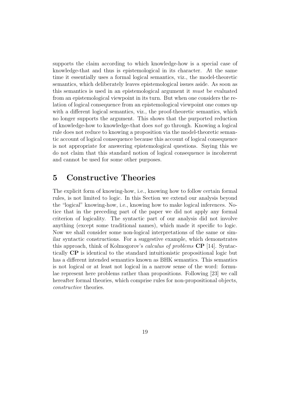supports the claim according to which knowledge-how is a special case of knowledge-that and thus is epistemological in its character. At the same time it essentially uses a formal logical semantics, viz., the model-theoretic semantics, which deliberately leaves epistemological issues aside. As soon as this semantics is used in an epistemological argument it must be evaluated from an epistemological viewpoint in its turn. But when one considers the relation of logical consequence from an epistemological viewpoint one comes up with a different logical semantics, viz., the proof-theoretic semantics, which no longer supports the argument. This shows that the purported reduction of knowledge-how to knowledge-that does not go through. Knowing a logical rule does not reduce to knowing a proposition via the model-theoretic semantic account of logical consequence because this account of logical consequence is not appropriate for answering epistemological questions. Saying this we do not claim that this standard notion of logical consequence is incoherent and cannot be used for some other purposes.

### 5 Constructive Theories

The explicit form of knowing-how, i.e., knowing how to follow certain formal rules, is not limited to logic. In this Section we extend our analysis beyond the "logical" knowing-how, i.e., knowing how to make logical inferences. Notice that in the preceding part of the paper we did not apply any formal criterion of logicality. The syntactic part of our analysis did not involve anything (except some traditional names), which made it specific to logic. Now we shall consider some non-logical interpretations of the same or similar syntactic constructions. For a suggestive example, which demonstrates this approach, think of Kolmogorov's *calculus of problems*  $\mathbf{CP}$  [14]. Syntactically CP is identical to the standard intuitionistic propositional logic but has a different intended semantics known as BHK semantics. This semantics is not logical or at least not logical in a narrow sense of the word: formulae represent here problems rather than propositions. Following [23] we call hereafter formal theories, which comprise rules for non-propositional objects, constructive theories.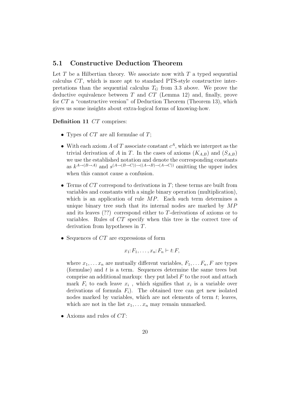#### 5.1 Constructive Deduction Theorem

Let T be a Hilbertian theory. We associate now with  $T$  a typed sequential calculus CT, which is more apt to standard PTS-style constructive interpretations than the sequential calculus  $T<sub>G</sub>$  from 3.3 above. We prove the deductive equivalence between  $T$  and  $CT$  (Lemma 12) and, finally, prove for  $CT$  a "constructive version" of Deduction Theorem (Theorem 13), which gives us some insights about extra-logical forms of knowing-how.

Definition 11 CT comprises:

- Types of  $CT$  are all formulae of  $T$ ;
- With each axiom A of T associate constant  $c^A$ , which we interpret as the trivial derivation of A in T. In the cases of axioms  $(K_{A,B})$  and  $(S_{A,B})$ we use the established notation and denote the corresponding constants as  $k^{A\to(B\to A)}$  and  $s^{(A\to(B\to C))\to((A\to B)\to(A\to C))}$  omitting the upper index when this cannot cause a confusion.
- Terms of  $CT$  correspond to derivations in  $T$ ; these terms are built from variables and constants with a single binary operation (multiplication), which is an application of rule  $MP$ . Each such term determines a unique binary tree such that its internal nodes are marked by MP and its leaves (??) correspond either to T-derivations of axioms or to variables. Rules of CT specify when this tree is the correct tree of derivation from hypotheses in T.
- Sequences of  $CT$  are expressions of form

$$
x_1: F_1, \ldots, x_n: F_n \vdash t: F,
$$

where  $x_1, \ldots x_n$  are mutually different variables,  $F_1, \ldots F_n, F$  are types (formulae) and  $t$  is a term. Sequences determine the same trees but comprise an additional markup: they put label  $F$  to the root and attach mark  $F_i$  to each leave  $x_i$ , which signifies that  $x_i$  is a variable over derivations of formula  $F_i$ ). The obtained tree can get new isolated nodes marked by variables, which are not elements of term  $t$ ; leaves, which are not in the list  $x_1, \ldots, x_n$  may remain unmarked.

• Axioms and rules of  $CT$ :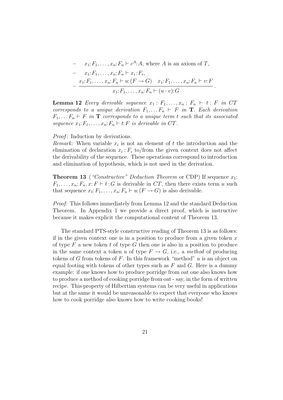- 
$$
x_1: F_1, ..., x_n: F_n \vdash c^A: A
$$
, where A is an axiom of T,  
\n-  $x_1: F_1, ..., x_n: F_n \vdash x_i: F_i$ ,  
\n-  $\frac{x_1: F_1, ..., x_n: F_n \vdash u: (F \to G) \quad x_1: F_1, ..., x_n: F_n \vdash v: F}{x_1: F_1, ..., x_n: F_n \vdash (u \cdot v): G}$ .

**Lemma 12** Every derivable sequence  $x_1 : F_1, \ldots, x_n : F_n \vdash t : F$  in CT corresponds to a unique derivation  $F_1, \ldots F_n \vdash F$  in **T**. Each derivation  $F_1, \ldots F_n \vdash F$  in **T** corresponds to a unique term t such that its associated sequence  $x_1: F_1, \ldots, x_n: F_n \vdash t: F$  is derivable in CT.

*Proof:* Induction by derivations.

Remark: When variable  $x_i$  is not an element of t the introduction and the elimination of declaration  $x_i$ :  $F_i$  to/from the given context does not affect the derivability of the sequence. These operations correspond to introduction and elimination of hypothesis, which is not used in the derivation.

**Theorem 13** ("Constructive" Deduction Theorem or CDP) If sequence  $x_1$ :  $F_1, \ldots, x_n: F_n, x: F \vdash t: G$  is derivable in CT, then there exists term u such that sequence  $x_1: F_1, \ldots, x_n: F_n \vdash u: (F \to G)$  is also derivable.

Proof: This follows immediately from Lemma 12 and the standard Deduction Theorem. In Appendix 1 we provide a direct proof, which is instructive because it makes explicit the computational content of Theorem 13.

The standard PTS-style constructive reading of Theorem 13 is as follows: if in the given context one is in a position to produce from a given token  $x$ of type  $F$  a new token t of type  $G$  then one is also in a position to produce in the same context a token u of type  $F \to G$ , i.e., a method of producing tokens of G from tokens of F. In this framework "method"  $u$  is an object on equal footing with tokens of other types such as  $F$  and  $G$ . Here is a dummy example: if one knows how to produce porridge from oat one also knows how to produce a method of cooking porridge from oat - say, in the form of written recipe. This property of Hilbertian systems can be very useful in applications but at the same it would be unreasonable to expect that everyone who knows how to cook porridge also knows how to write cooking books!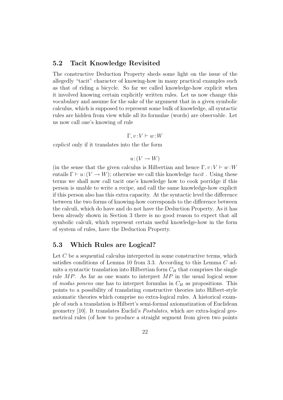#### 5.2 Tacit Knowledge Revisited

The constructive Deduction Property sheds some light on the issue of the allegedly "tacit" character of knowing-how in many practical examples such as that of riding a bicycle. So far we called knowledge-how explicit when it involved knowing certain explicitly written rules. Let us now change this vocabulary and assume for the sake of the argument that in a given symbolic calculus, which is supposed to represent some bulk of knowledge, all syntactic rules are hidden from view while all its formulae (words) are observable. Let us now call one's knowing of rule

$$
\Gamma, v \colon\! V \vdash w \colon\! W
$$

explicit only if it translates into the the form

 $u: (V \to W)$ 

(in the sense that the given calculus is Hilbertian and hence  $\Gamma, v : V \vdash w : W$ entails  $\Gamma \vdash u : (V \to W)$ ; otherwise we call this knowledge tacit. Using these terms we shall now call tacit one's knowledge how to cook porridge if this person is unable to write a recipe, and call the same knowledge-how explicit if this person also has this extra capacity. At the syntactic level the difference between the two forms of knowing-how corresponds to the difference between the calculi, which do have and do not have the Deduction Property. As it has been already shown in Section 3 there is no good reason to expect that all symbolic calculi, which represent certain useful knowledge-how in the form of system of rules, have the Deduction Property.

#### 5.3 Which Rules are Logical?

Let  $C$  be a sequential calculus interpreted in some constructive terms, which satisfies conditions of Lemma 10 from 3.3. According to this Lemma C admits a syntactic translation into Hilbertian form  $C_H$  that comprises the single rule  $MP$ . As far as one wants to interpret  $MP$  in the usual logical sense of modus ponens one has to interpret formulas in  $C_H$  as propositions. This points to a possibility of translating constructive theories into Hilbert-style axiomatic theories which comprise no extra-logical rules. A historical example of such a translation is Hilbert's semi-formal axiomatization of Euclidean geometry [10]. It translates Euclid's Postulates, which are extra-logical geometrical rules (of how to produce a straight segment from given two points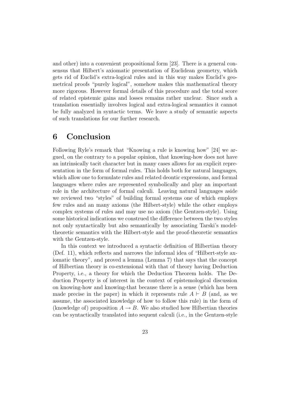and other) into a convenient propositional form [23]. There is a general consensus that Hilbert's axiomatic presentation of Euclidean geometry, which gets rid of Euclid's extra-logical rules and in this way makes Euclid's geometrical proofs "purely logical", somehow makes this mathematical theory more rigorous. However formal details of this procedure and the total score of related epistemic gains and losses remains rather unclear. Since such a translation essentially involves logical and extra-logical semantics it cannot be fully analyzed in syntactic terms. We leave a study of semantic aspects of such translations for our further research.

## 6 Conclusion

Following Ryle's remark that "Knowing a rule is knowing how" [24] we argued, on the contrary to a popular opinion, that knowing-how does not have an intrinsically tacit character but in many cases allows for an explicit representation in the form of formal rules. This holds both for natural languages, which allow one to formulate rules and related deontic expressions, and formal languages where rules are represented symbolically and play an important role in the architecture of formal calculi. Leaving natural languages aside we reviewed two "styles" of building formal systems one of which employs few rules and an many axioms (the Hilbert-style) while the other employs complex systems of rules and may use no axiom (the Gentzen-style). Using some historical indications we construed the difference between the two styles not only syntactically but also semantically by associating Tarski's modeltheoretic semantics with the Hilbert-style and the proof-theoretic semantics with the Gentzen-style.

In this context we introduced a syntactic definition of Hilbertian theory (Def. 11), which reflects and narrows the informal idea of "Hilbert-style axiomatic theory", and proved a lemma (Lemma 7) that says that the concept of Hilbertian theory is co-extensional with that of theory having Deduction Property, i.e., a theory for which the Deduction Theorem holds. The Deduction Property is of interest in the context of epistemological discussion on knowing-how and knowing-that because there is a sense (which has been made precise in the paper) in which it represents rule  $A \vdash B$  (and, as we assume, the associated knowledge of how to follow this rule) in the form of (knowledge of) proposition  $A \to B$ . We also studied how Hilbertian theories can be syntactically translated into sequent calculi (i.e., in the Gentzen-style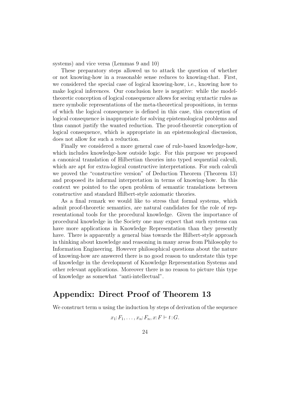systems) and vice versa (Lemmas 9 and 10)

These preparatory steps allowed us to attack the question of whether or not knowing-how in a reasonable sense reduces to knowing-that. First, we considered the special case of logical knowing-how, i.e., knowing how to make logical inferences. Our conclusion here is negative: while the modeltheoretic conception of logical consequence allows for seeing syntactic rules as mere symbolic representations of the meta-theoretical propositions, in terms of which the logical consequence is defined in this case, this conception of logical consequence is inappropriate for solving epistemological problems and thus cannot justify the wanted reduction. The proof-theoretic conception of logical consequence, which is appropriate in an epistemological discussion, does not allow for such a reduction.

Finally we considered a more general case of rule-based knowledge-how, which includes knowledge-how outside logic. For this purpose we proposed a canonical translation of Hilbertian theories into typed sequential calculi, which are apt for extra-logical constructive interpretations. For such calculi we proved the "constructive version" of Deduction Theorem (Theorem 13) and proposed its informal interpretation in terms of knowing-how. In this context we pointed to the open problem of semantic translations between constructive and standard Hilbert-style axiomatic theories.

As a final remark we would like to stress that formal systems, which admit proof-theoretic semantics, are natural candidates for the role of representational tools for the procedural knowledge. Given the importance of procedural knowledge in the Society one may expect that such systems can have more applications in Knowledge Representation than they presently have. There is apparently a general bias towards the Hilbert-style approach in thinking about knowledge and reasoning in many areas from Philosophy to Information Engineering. However philosophical questions about the nature of knowing-how are answered there is no good reason to understate this type of knowledge in the development of Knowledge Representation Systems and other relevant applications. Moreover there is no reason to picture this type of knowledge as somewhat "anti-intellectual".

## Appendix: Direct Proof of Theorem 13

We construct term  $u$  using the induction by steps of derivation of the sequence

$$
x_1: F_1, \ldots, x_n: F_n, x: F \vdash t: G.
$$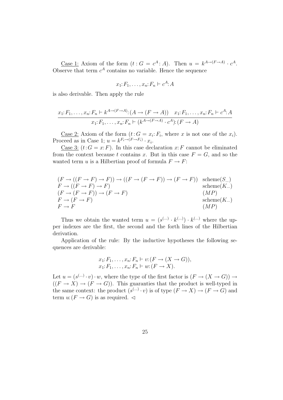<u>Case 1</u>: Axiom of the form  $(t:G = c^A: A)$ . Then  $u = k^{A \to (F \to A)} \cdot c^A$ . Observe that term  $c^A$  contains no variable. Hence the sequence

$$
x_1: F_1, \ldots, x_n: F_n \vdash c^A: A
$$

is also derivable. Then apply the rule

$$
\frac{x_1: F_1, \dots, x_n: F_n \vdash k^{A \to (F \to A)}: (A \to (F \to A)) \quad x_1: F_1, \dots, x_n: F_n \vdash c^A: A}{x_1: F_1, \dots, x_n: F_n \vdash (k^{A \to (F \to A)} \cdot c^A): (F \to A)}
$$

<u>Case 2</u>: Axiom of the form  $(t: G = x_i: F_i$ , where x is not one of the  $x_i$ ). Proceed as in Case 1;  $u = k^{F_i \rightarrow (F \rightarrow F_i)} \cdot x_i$ .

Case 3:  $(t:G = x: F)$ . In this case declaration x: F cannot be eliminated from the context because t contains x. But in this case  $F = G$ , and so the wanted term u is a Hilbertian proof of formula  $F \to F$ :

$$
(F \to ((F \to F) \to F)) \to ((F \to (F \to F)) \to (F \to F))
$$
scheme(S...)  
\n
$$
F \to ((F \to F) \to F)
$$
  
\n
$$
(F \to (F \to F)) \to (F \to F)
$$
  
\n
$$
F \to (F \to F)
$$
  
\n
$$
(MP)
$$
  
\n
$$
(MP)
$$
  
\n
$$
(MP)
$$

Thus we obtain the wanted term  $u = (s^{(\ldots)} \cdot k^{(\ldots)}) \cdot k^{(\ldots)}$  where the upper indexes are the first, the second and the forth lines of the Hilbertian derivation.

Application of the rule: By the inductive hypotheses the following sequences are derivable:

$$
x_1: F_1, \ldots, x_n: F_n \vdash v: (F \to (X \to G)),
$$
  
\n
$$
x_1: F_1, \ldots, x_n: F_n \vdash w: (F \to X).
$$

Let  $u = (s^{(\ldots)} \cdot v) \cdot w$ , where the type of the first factor is  $(F \to (X \to G)) \to$  $((F \rightarrow X) \rightarrow (F \rightarrow G))$ . This guaranties that the product is well-typed in the same context: the product  $(s^{(\dots)} \cdot v)$  is of type  $(F \to X) \to (F \to G)$  and term  $u: (F \to G)$  is as required.  $\triangleleft$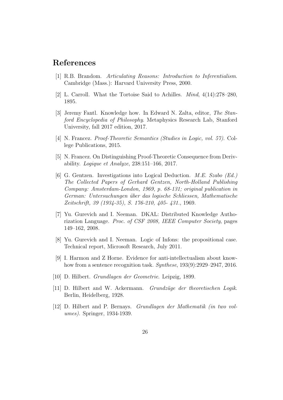## References

- [1] R.B. Brandom. Articulating Reasons: Introduction to Inferentialism. Cambridge (Mass.): Harvard University Press, 2000.
- [2] L. Carroll. What the Tortoise Said to Achilles. Mind, 4(14):278–280, 1895.
- [3] Jeremy Fantl. Knowledge how. In Edward N. Zalta, editor, The Stanford Encyclopedia of Philosophy. Metaphysics Research Lab, Stanford University, fall 2017 edition, 2017.
- [4] N. Francez. Proof-Theoretic Semantics (Studies in Logic, vol. 57). College Publications, 2015.
- [5] N. Francez. On Distinguishing Proof-Theoretic Consequence from Derivability. Logique et Analyze, 238:151–166, 2017.
- [6] G. Gentzen. Investigations into Logical Deduction. M.E. Szabo (Ed.) The Collected Papers of Gerhard Gentzen, North-Holland Publishing Company: Amsterdam-London, 1969, p. 68-131; original publication in German: Untersuchungen ¨uber das logische Schliessen, Mathematische Zeitschrift, 39 (1934-35), S. 176-210, 405- 431., 1969.
- [7] Yu. Gurevich and I. Neeman. DKAL: Distributed Knowledge Authorization Language. Proc. of CSF 2008, IEEE Computer Society, pages 149–162, 2008.
- [8] Yu. Gurevich and I. Neeman. Logic of Infons: the propositional case. Technical report, Microsoft Research, July 2011.
- [9] I. Harmon and Z Horne. Evidence for anti-intellectualism about knowhow from a sentence recognition task. Synthese, 193(9):2929–2947, 2016.
- [10] D. Hilbert. Grundlagen der Geometrie. Leipzig, 1899.
- [11] D. Hilbert and W. Ackermann. *Grundzüge der theoretischen Logik.* Berlin, Heidelberg, 1928.
- [12] D. Hilbert and P. Bernays. Grundlagen der Mathematik (in two volumes). Springer, 1934-1939.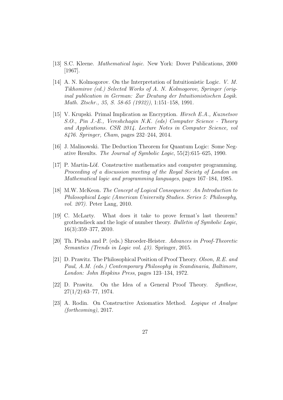- [13] S.C. Kleene. Mathematical logic. New York: Dover Publications, 2000 [1967].
- [14] A. N. Kolmogorov. On the Interpretation of Intuitionistic Logic. V. M. Tikhomirov (ed.) Selected Works of A. N. Kolmogorov, Springer (original publication in German: Zur Deutung der Intuitionistischen Logik. Math. Ztschr., 35, S. 58-65 (1932)), 1:151–158, 1991.
- [15] V. Krupski. Primal Implication as Encryption. Hirsch E.A., Kuznetsov S.O., Pin J.-E., Vereshchagin N.K. (eds) Computer Science - Theory and Applications. CSR 2014. Lecture Notes in Computer Science, vol 8476. Springer, Cham, pages 232–244, 2014.
- [16] J. Malinowski. The Deduction Theorem for Quantum Logic: Some Negative Results. The Journal of Symbolic Logic, 55(2):615–625, 1990.
- [17] P. Martin-Löf. Constructive mathematics and computer programming. Proceeding of a discussion meeting of the Royal Society of London on Mathematical logic and programming languages, pages 167–184, 1985.
- [18] M.W. McKeon. The Concept of Logical Consequence: An Introduction to Philosophical Logic (American University Studies. Series 5: Philosophy, vol. 207). Peter Lang, 2010.
- [19] C. McLarty. What does it take to prove fermat's last theorem? grothendieck and the logic of number theory. Bulletin of Symbolic Logic, 16(3):359–377, 2010.
- [20] Th. Piesha and P. (eds.) Shroeder-Heister. Advances in Proof-Theoretic Semantics (Trends in Logic vol. 43). Springer, 2015.
- [21] D. Prawitz. The Philosophical Position of Proof Theory. Olson, R.E. and Paul, A.M. (eds.) Contemporary Philosophy in Scandinavia, Baltimore, London: John Hopkins Press, pages 123–134, 1972.
- [22] D. Prawitz. On the Idea of a General Proof Theory. Synthese,  $27(1/2):63-77, 1974.$
- [23] A. Rodin. On Constructive Axiomatics Method. Logique et Analyse (forthcoming), 2017.